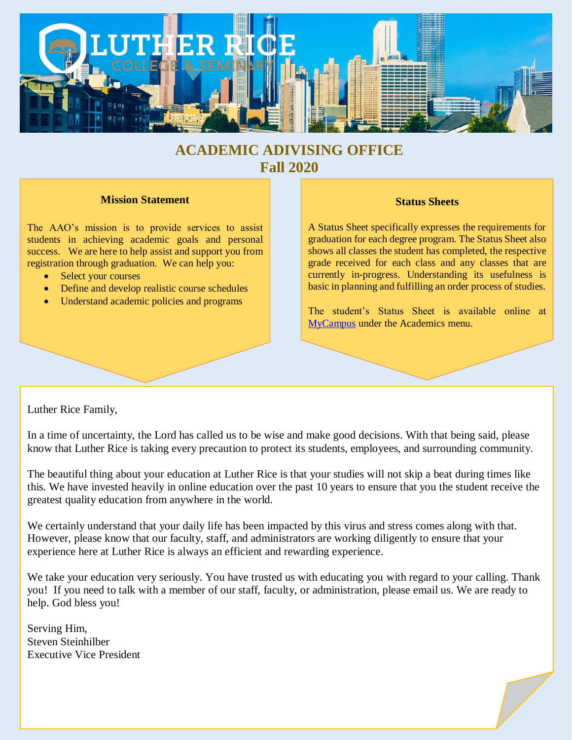

# **ACADEMIC ADIVISING OFFICE Fall 2020**

#### **Mission Statement**

The AAO's mission is to provide services to assist students in achieving academic goals and personal success. We are here to help assist and support you from registration through graduation. We can help you:

- Select your courses
- Define and develop realistic course schedules
- Understand academic policies and programs

### **Status Sheets**

A Status Sheet specifically expresses the requirements for graduation for each degree program. The Status Sheet also shows all classes the student has completed, the respective grade received for each class and any classes that are currently in-progress. Understanding its usefulness is basic in planning and fulfilling an order process of studies.

The student's Status Sheet is available online at [MyCampus](https://mycampus.lutherrice.edu/) under the Academics menu.

Luther Rice Family,

In a time of uncertainty, the Lord has called us to be wise and make good decisions. With that being said, please know that Luther Rice is taking every precaution to protect its students, employees, and surrounding community.

The beautiful thing about your education at Luther Rice is that your studies will not skip a beat during times like this. We have invested heavily in online education over the past 10 years to ensure that you the student receive the greatest quality education from anywhere in the world.

We certainly understand that your daily life has been impacted by this virus and stress comes along with that. However, please know that our faculty, staff, and administrators are working diligently to ensure that your experience here at Luther Rice is always an efficient and rewarding experience.

We take your education very seriously. You have trusted us with educating you with regard to your calling. Thank you! If you need to talk with a member of our staff, faculty, or administration, please email us. We are ready to help. God bless you!

Serving Him, Steven Steinhilber Executive Vice President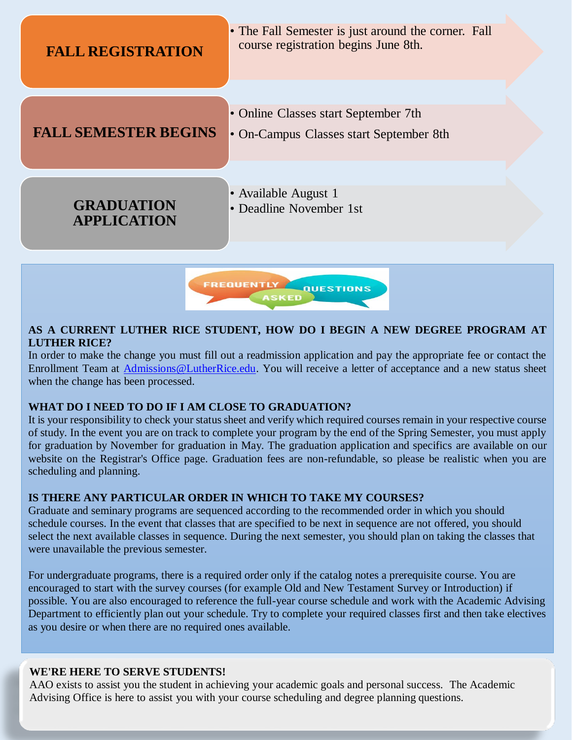

## **AS A CURRENT LUTHER RICE STUDENT, HOW DO I BEGIN A NEW DEGREE PROGRAM AT LUTHER RICE?**

In order to make the change you must fill out a readmission application and pay the appropriate fee or contact the Enrollment Team at [Admissions@LutherRice.edu.](mailto:Admissions@LutherRice.edu) You will receive a letter of acceptance and a new status sheet when the change has been processed.

## **WHAT DO I NEED TO DO IF I AM CLOSE TO GRADUATION?**

It is your responsibility to check your status sheet and verify which required courses remain in your respective course of study. In the event you are on track to complete your program by the end of the Spring Semester, you must apply for graduation by November for graduation in May. The graduation application and specifics are available on our website on the Registrar's Office page. Graduation fees are non-refundable, so please be realistic when you are scheduling and planning.

# **IS THERE ANY PARTICULAR ORDER IN WHICH TO TAKE MY COURSES?**

Graduate and seminary programs are sequenced according to the recommended order in which you should schedule courses. In the event that classes that are specified to be next in sequence are not offered, you should select the next available classes in sequence. During the next semester, you should plan on taking the classes that were unavailable the previous semester.

For undergraduate programs, there is a required order only if the catalog notes a prerequisite course. You are encouraged to start with the survey courses (for example Old and New Testament Survey or Introduction) if possible. You are also encouraged to reference the full-year course schedule and work with the Academic Advising Department to efficiently plan out your schedule. Try to complete your required classes first and then take electives as you desire or when there are no required ones available.

# **WE'RE HERE TO SERVE STUDENTS!**

AAO exists to assist you the student in achieving your academic goals and personal success. The Academic Advising Office is here to assist you with your course scheduling and degree planning questions.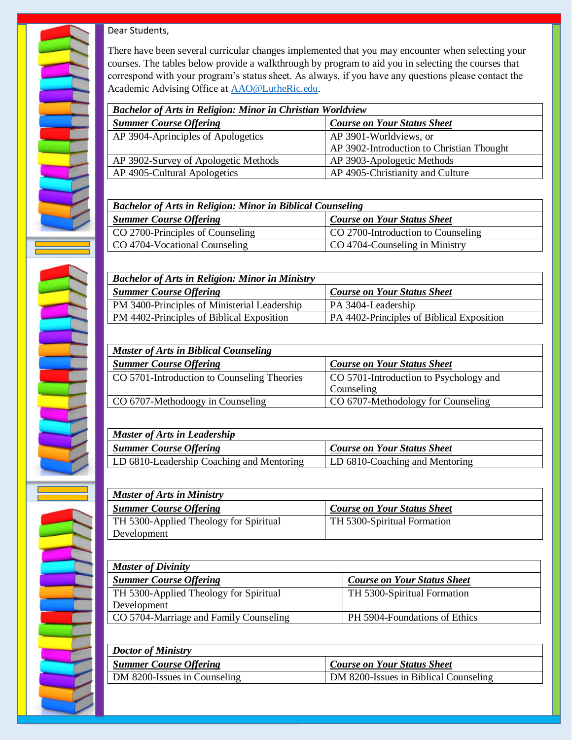

Dear Students,

There have been several curricular changes implemented that you may encounter when selecting your courses. The tables below provide a walkthrough by program to aid you in selecting the courses that correspond with your program's status sheet. As always, if you have any questions please contact the Academic Advising Office at [AAO@LutheRic.edu.](mailto:AAO@LutheRic.edu)

| <b>Bachelor of Arts in Religion: Minor in Christian Worldview</b> |                                           |
|-------------------------------------------------------------------|-------------------------------------------|
| <b>Summer Course Offering</b>                                     | <b>Course on Your Status Sheet</b>        |
| AP 3904-Aprinciples of Apologetics                                | AP 3901-Worldviews, or                    |
|                                                                   | AP 3902-Introduction to Christian Thought |
| AP 3902-Survey of Apologetic Methods                              | AP 3903-Apologetic Methods                |
| AP 4905-Cultural Apologetics                                      | AP 4905-Christianity and Culture          |

| <b>Bachelor of Arts in Religion: Minor in Biblical Counseling</b> |                                    |
|-------------------------------------------------------------------|------------------------------------|
| <b>Summer Course Offering</b>                                     | <b>Course on Your Status Sheet</b> |
| CO 2700-Principles of Counseling                                  | CO 2700-Introduction to Counseling |
| CO 4704-Vocational Counseling                                     | CO 4704-Counseling in Ministry     |

| <b>Bachelor of Arts in Religion: Minor in Ministry</b> |                                           |
|--------------------------------------------------------|-------------------------------------------|
| <b>Summer Course Offering</b>                          | <b>Course on Your Status Sheet</b>        |
| PM 3400-Principles of Ministerial Leadership           | PA 3404-Leadership                        |
| PM 4402-Principles of Biblical Exposition              | PA 4402-Principles of Biblical Exposition |

| <b>Master of Arts in Biblical Counseling</b> |                                        |
|----------------------------------------------|----------------------------------------|
| <b>Summer Course Offering</b>                | <b>Course on Your Status Sheet</b>     |
| CO 5701-Introduction to Counseling Theories  | CO 5701-Introduction to Psychology and |
|                                              | Counseling                             |
| CO 6707-Methodoogy in Counseling             | CO 6707-Methodology for Counseling     |

| Master of Arts in Leadership              |                                    |
|-------------------------------------------|------------------------------------|
| <b>Summer Course Offering</b>             | <b>Course on Your Status Sheet</b> |
| LD 6810-Leadership Coaching and Mentoring | LD 6810-Coaching and Mentoring     |

| <b>Master of Arts in Ministry</b>      |                                    |
|----------------------------------------|------------------------------------|
| <b>Summer Course Offering</b>          | <b>Course on Your Status Sheet</b> |
| TH 5300-Applied Theology for Spiritual | TH 5300-Spiritual Formation        |
| Development                            |                                    |

| <b>Master of Divinity</b>              |                                    |
|----------------------------------------|------------------------------------|
| <b>Summer Course Offering</b>          | <b>Course on Your Status Sheet</b> |
| TH 5300-Applied Theology for Spiritual | TH 5300-Spiritual Formation        |
| Development                            |                                    |
| CO 5704-Marriage and Family Counseling | PH 5904-Foundations of Ethics      |

| Doctor of Ministry            |                                       |
|-------------------------------|---------------------------------------|
| <b>Summer Course Offering</b> | <b>Course on Your Status Sheet</b>    |
| DM 8200-Issues in Counseling  | DM 8200-Issues in Biblical Counseling |